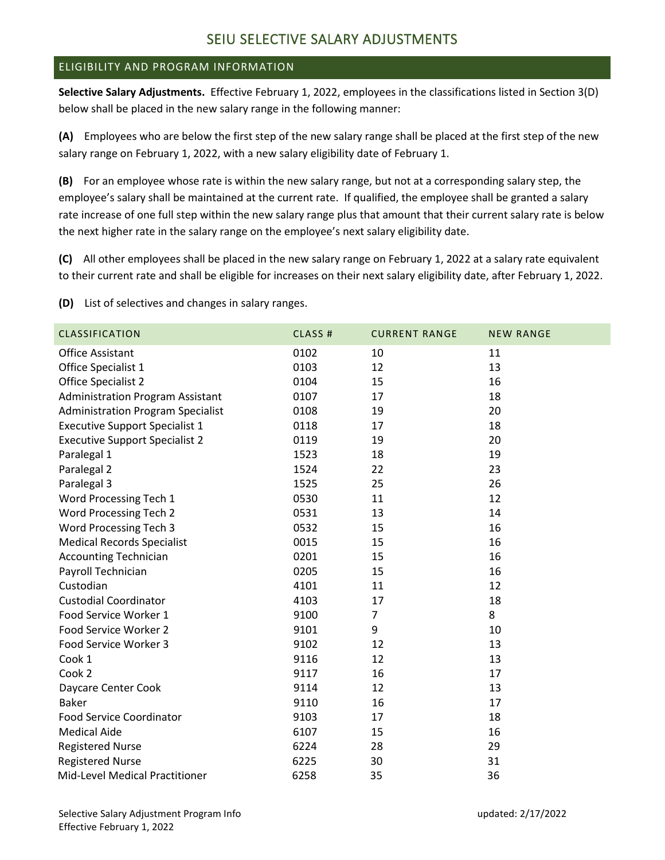## SEIU SELECTIVE SALARY ADJUSTMENTS

## ELIGIBILITY AND PROGRAM INFORMATION

**Selective Salary Adjustments.** Effective February 1, 2022, employees in the classifications listed in Section 3(D) below shall be placed in the new salary range in the following manner:

**(A)** Employees who are below the first step of the new salary range shall be placed at the first step of the new salary range on February 1, 2022, with a new salary eligibility date of February 1.

**(B)** For an employee whose rate is within the new salary range, but not at a corresponding salary step, the employee's salary shall be maintained at the current rate. If qualified, the employee shall be granted a salary rate increase of one full step within the new salary range plus that amount that their current salary rate is below the next higher rate in the salary range on the employee's next salary eligibility date.

**(C)** All other employees shall be placed in the new salary range on February 1, 2022 at a salary rate equivalent to their current rate and shall be eligible for increases on their next salary eligibility date, after February 1, 2022.

**(D)** List of selectives and changes in salary ranges.

| <b>CLASSIFICATION</b>                    | CLASS# | <b>CURRENT RANGE</b> | <b>NEW RANGE</b> |
|------------------------------------------|--------|----------------------|------------------|
| <b>Office Assistant</b>                  | 0102   | 10                   | 11               |
| Office Specialist 1                      | 0103   | 12                   | 13               |
| Office Specialist 2                      | 0104   | 15                   | 16               |
| <b>Administration Program Assistant</b>  | 0107   | 17                   | 18               |
| <b>Administration Program Specialist</b> | 0108   | 19                   | 20               |
| <b>Executive Support Specialist 1</b>    | 0118   | 17                   | 18               |
| <b>Executive Support Specialist 2</b>    | 0119   | 19                   | 20               |
| Paralegal 1                              | 1523   | 18                   | 19               |
| Paralegal 2                              | 1524   | 22                   | 23               |
| Paralegal 3                              | 1525   | 25                   | 26               |
| Word Processing Tech 1                   | 0530   | 11                   | 12               |
| Word Processing Tech 2                   | 0531   | 13                   | 14               |
| Word Processing Tech 3                   | 0532   | 15                   | 16               |
| <b>Medical Records Specialist</b>        | 0015   | 15                   | 16               |
| <b>Accounting Technician</b>             | 0201   | 15                   | 16               |
| Payroll Technician                       | 0205   | 15                   | 16               |
| Custodian                                | 4101   | 11                   | 12               |
| <b>Custodial Coordinator</b>             | 4103   | 17                   | 18               |
| Food Service Worker 1                    | 9100   | $\overline{7}$       | 8                |
| Food Service Worker 2                    | 9101   | 9                    | 10               |
| Food Service Worker 3                    | 9102   | 12                   | 13               |
| Cook 1                                   | 9116   | 12                   | 13               |
| Cook 2                                   | 9117   | 16                   | 17               |
| Daycare Center Cook                      | 9114   | 12                   | 13               |
| <b>Baker</b>                             | 9110   | 16                   | 17               |
| <b>Food Service Coordinator</b>          | 9103   | 17                   | 18               |
| <b>Medical Aide</b>                      | 6107   | 15                   | 16               |
| <b>Registered Nurse</b>                  | 6224   | 28                   | 29               |
| <b>Registered Nurse</b>                  | 6225   | 30                   | 31               |
| Mid-Level Medical Practitioner           | 6258   | 35                   | 36               |